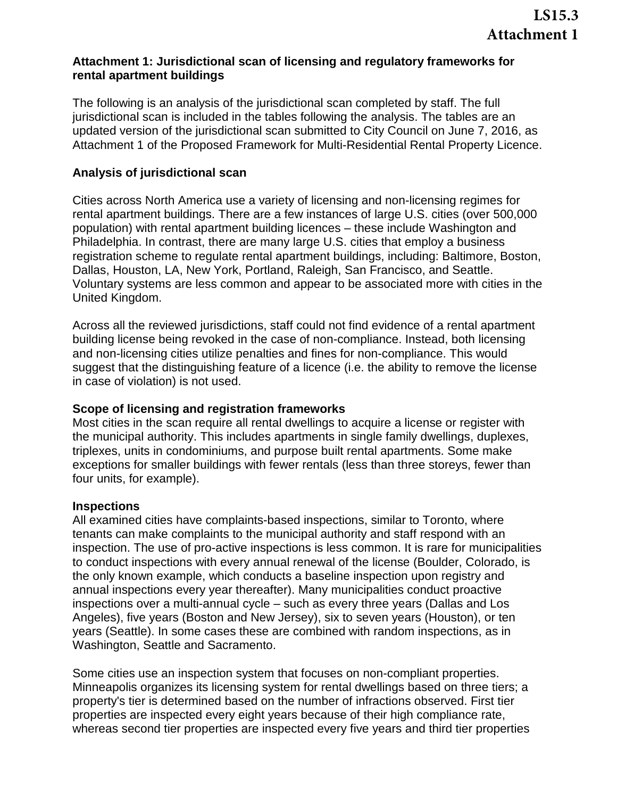## **Attachment 1: Jurisdictional scan of licensing and regulatory frameworks for rental apartment buildings**

The following is an analysis of the jurisdictional scan completed by staff. The full jurisdictional scan is included in the tables following the analysis. The tables are an updated version of the jurisdictional scan submitted to City Council on June 7, 2016, as Attachment 1 of the Proposed Framework for Multi-Residential Rental Property Licence.

## **Analysis of jurisdictional scan**

Cities across North America use a variety of licensing and non-licensing regimes for rental apartment buildings. There are a few instances of large U.S. cities (over 500,000 population) with rental apartment building licences – these include Washington and Philadelphia. In contrast, there are many large U.S. cities that employ a business registration scheme to regulate rental apartment buildings, including: Baltimore, Boston, Dallas, Houston, LA, New York, Portland, Raleigh, San Francisco, and Seattle. Voluntary systems are less common and appear to be associated more with cities in the United Kingdom.

Across all the reviewed jurisdictions, staff could not find evidence of a rental apartment building license being revoked in the case of non-compliance. Instead, both licensing and non-licensing cities utilize penalties and fines for non-compliance. This would suggest that the distinguishing feature of a licence (i.e. the ability to remove the license in case of violation) is not used.

#### **Scope of licensing and registration frameworks**

Most cities in the scan require all rental dwellings to acquire a license or register with the municipal authority. This includes apartments in single family dwellings, duplexes, triplexes, units in condominiums, and purpose built rental apartments. Some make exceptions for smaller buildings with fewer rentals (less than three storeys, fewer than four units, for example).

#### **Inspections**

All examined cities have complaints-based inspections, similar to Toronto, where tenants can make complaints to the municipal authority and staff respond with an inspection. The use of pro-active inspections is less common. It is rare for municipalities to conduct inspections with every annual renewal of the license (Boulder, Colorado, is the only known example, which conducts a baseline inspection upon registry and annual inspections every year thereafter). Many municipalities conduct proactive inspections over a multi-annual cycle – such as every three years (Dallas and Los Angeles), five years (Boston and New Jersey), six to seven years (Houston), or ten years (Seattle). In some cases these are combined with random inspections, as in Washington, Seattle and Sacramento.

Some cities use an inspection system that focuses on non-compliant properties. Minneapolis organizes its licensing system for rental dwellings based on three tiers; a property's tier is determined based on the number of infractions observed. First tier properties are inspected every eight years because of their high compliance rate, whereas second tier properties are inspected every five years and third tier properties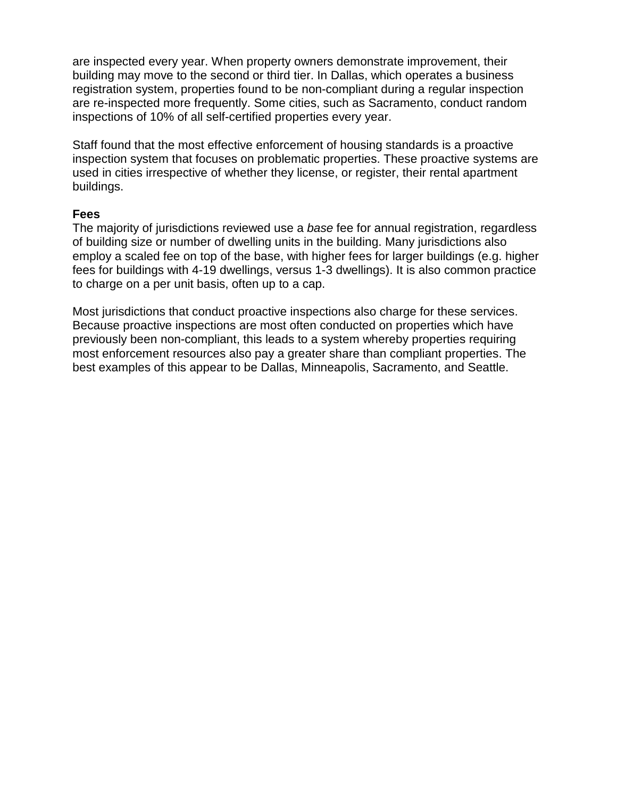are inspected every year. When property owners demonstrate improvement, their building may move to the second or third tier. In Dallas, which operates a business registration system, properties found to be non-compliant during a regular inspection are re-inspected more frequently. Some cities, such as Sacramento, conduct random inspections of 10% of all self-certified properties every year.

Staff found that the most effective enforcement of housing standards is a proactive inspection system that focuses on problematic properties. These proactive systems are used in cities irrespective of whether they license, or register, their rental apartment buildings.

#### **Fees**

The majority of jurisdictions reviewed use a *base* fee for annual registration, regardless of building size or number of dwelling units in the building. Many jurisdictions also employ a scaled fee on top of the base, with higher fees for larger buildings (e.g. higher fees for buildings with 4-19 dwellings, versus 1-3 dwellings). It is also common practice to charge on a per unit basis, often up to a cap.

Most jurisdictions that conduct proactive inspections also charge for these services. Because proactive inspections are most often conducted on properties which have previously been non-compliant, this leads to a system whereby properties requiring most enforcement resources also pay a greater share than compliant properties. The best examples of this appear to be Dallas, Minneapolis, Sacramento, and Seattle.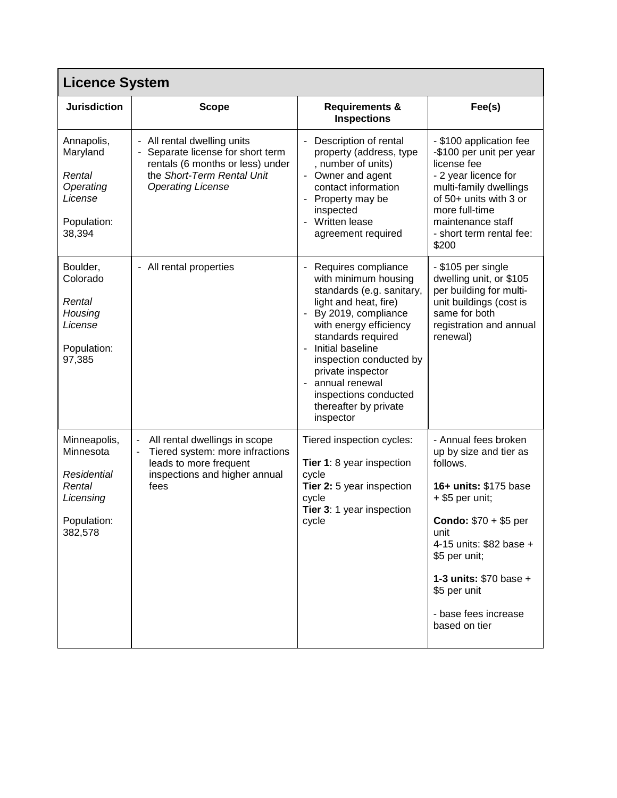|                                                                                           | <b>Licence System</b>                                                                                                                                                   |                                                                                                                                                                                                                                                                                                                                     |                                                                                                                                                                                                                                                                        |  |  |
|-------------------------------------------------------------------------------------------|-------------------------------------------------------------------------------------------------------------------------------------------------------------------------|-------------------------------------------------------------------------------------------------------------------------------------------------------------------------------------------------------------------------------------------------------------------------------------------------------------------------------------|------------------------------------------------------------------------------------------------------------------------------------------------------------------------------------------------------------------------------------------------------------------------|--|--|
| <b>Jurisdiction</b>                                                                       | <b>Scope</b>                                                                                                                                                            | <b>Requirements &amp;</b><br><b>Inspections</b>                                                                                                                                                                                                                                                                                     | Fee(s)                                                                                                                                                                                                                                                                 |  |  |
| Annapolis,<br>Maryland<br>Rental<br>Operating<br>License<br>Population:<br>38,394         | - All rental dwelling units<br>Separate license for short term<br>rentals (6 months or less) under<br>the Short-Term Rental Unit<br><b>Operating License</b>            | Description of rental<br>property (address, type<br>, number of units)<br>- Owner and agent<br>contact information<br>Property may be<br>inspected<br>Written lease<br>÷.<br>agreement required                                                                                                                                     | - \$100 application fee<br>-\$100 per unit per year<br>license fee<br>- 2 year licence for<br>multi-family dwellings<br>of 50+ units with 3 or<br>more full-time<br>maintenance staff<br>- short term rental fee:<br>\$200                                             |  |  |
| Boulder,<br>Colorado<br>Rental<br>Housing<br>License<br>Population:<br>97,385             | - All rental properties                                                                                                                                                 | Requires compliance<br>with minimum housing<br>standards (e.g. sanitary,<br>light and heat, fire)<br>By 2019, compliance<br>with energy efficiency<br>standards required<br>Initial baseline<br>÷.<br>inspection conducted by<br>private inspector<br>annual renewal<br>inspections conducted<br>thereafter by private<br>inspector | - \$105 per single<br>dwelling unit, or \$105<br>per building for multi-<br>unit buildings (cost is<br>same for both<br>registration and annual<br>renewal)                                                                                                            |  |  |
| Minneapolis,<br>Minnesota<br>Residential<br>Rental<br>Licensing<br>Population:<br>382,578 | All rental dwellings in scope<br>$\blacksquare$<br>Tiered system: more infractions<br>$\blacksquare$<br>leads to more frequent<br>inspections and higher annual<br>fees | Tiered inspection cycles:<br>Tier 1: 8 year inspection<br>cycle<br>Tier 2: 5 year inspection<br>cycle<br>Tier 3: 1 year inspection<br>cycle                                                                                                                                                                                         | - Annual fees broken<br>up by size and tier as<br>follows.<br>16+ units: \$175 base<br>+ \$5 per unit;<br>Condo: \$70 + \$5 per<br>unit<br>4-15 units: \$82 base +<br>\$5 per unit;<br>1-3 units: \$70 base +<br>\$5 per unit<br>- base fees increase<br>based on tier |  |  |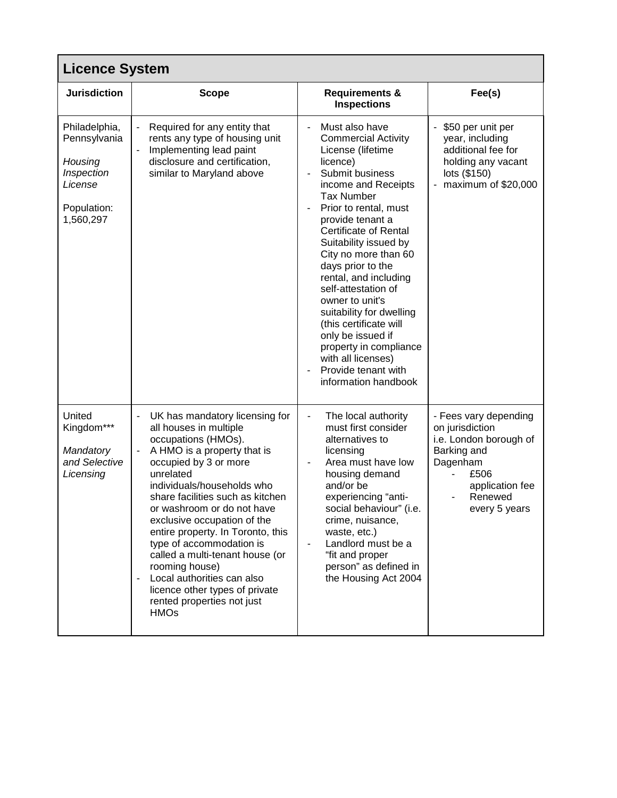| <b>Licence System</b>                                                                         |                                                                                                                                                                                                                                                                                                                                                                                                                                                                                                                                                    |                                                                                                                                                                                                                                                                                                                                                                                                                                                                                                                                                                |                                                                                                                                                      |  |
|-----------------------------------------------------------------------------------------------|----------------------------------------------------------------------------------------------------------------------------------------------------------------------------------------------------------------------------------------------------------------------------------------------------------------------------------------------------------------------------------------------------------------------------------------------------------------------------------------------------------------------------------------------------|----------------------------------------------------------------------------------------------------------------------------------------------------------------------------------------------------------------------------------------------------------------------------------------------------------------------------------------------------------------------------------------------------------------------------------------------------------------------------------------------------------------------------------------------------------------|------------------------------------------------------------------------------------------------------------------------------------------------------|--|
| <b>Jurisdiction</b>                                                                           | <b>Scope</b>                                                                                                                                                                                                                                                                                                                                                                                                                                                                                                                                       | <b>Requirements &amp;</b><br><b>Inspections</b>                                                                                                                                                                                                                                                                                                                                                                                                                                                                                                                | Fee(s)                                                                                                                                               |  |
| Philadelphia,<br>Pennsylvania<br>Housing<br>Inspection<br>License<br>Population:<br>1,560,297 | Required for any entity that<br>rents any type of housing unit<br>Implementing lead paint<br>disclosure and certification,<br>similar to Maryland above                                                                                                                                                                                                                                                                                                                                                                                            | Must also have<br><b>Commercial Activity</b><br>License (lifetime<br>licence)<br>Submit business<br>income and Receipts<br><b>Tax Number</b><br>Prior to rental, must<br>$\blacksquare$<br>provide tenant a<br><b>Certificate of Rental</b><br>Suitability issued by<br>City no more than 60<br>days prior to the<br>rental, and including<br>self-attestation of<br>owner to unit's<br>suitability for dwelling<br>(this certificate will<br>only be issued if<br>property in compliance<br>with all licenses)<br>Provide tenant with<br>information handbook | - \$50 per unit per<br>year, including<br>additional fee for<br>holding any vacant<br>lots (\$150)<br>- maximum of \$20,000                          |  |
| United<br>Kingdom***<br>Mandatory<br>and Selective<br>Licensing                               | UK has mandatory licensing for<br>all houses in multiple<br>occupations (HMOs).<br>A HMO is a property that is<br>$\overline{\phantom{a}}$<br>occupied by 3 or more<br>unrelated<br>individuals/households who<br>share facilities such as kitchen<br>or washroom or do not have<br>exclusive occupation of the<br>entire property. In Toronto, this<br>type of accommodation is<br>called a multi-tenant house (or<br>rooming house)<br>Local authorities can also<br>licence other types of private<br>rented properties not just<br><b>HMOs</b> | The local authority<br>must first consider<br>alternatives to<br>licensing<br>Area must have low<br>$\overline{\phantom{a}}$<br>housing demand<br>and/or be<br>experiencing "anti-<br>social behaviour" (i.e.<br>crime, nuisance,<br>waste, etc.)<br>Landlord must be a<br>"fit and proper<br>person" as defined in<br>the Housing Act 2004                                                                                                                                                                                                                    | - Fees vary depending<br>on jurisdiction<br>i.e. London borough of<br>Barking and<br>Dagenham<br>£506<br>application fee<br>Renewed<br>every 5 years |  |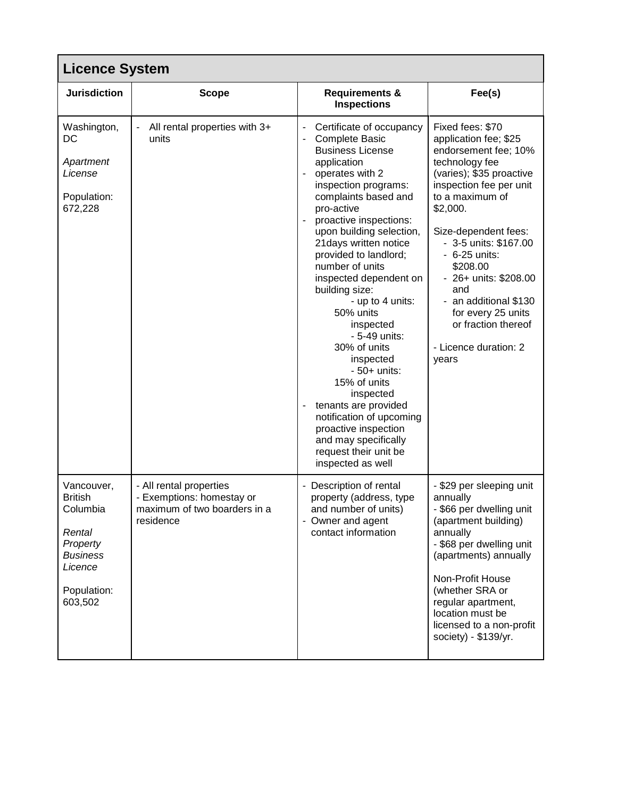| <b>Licence System</b>                                                                                                  |                                                                                                   |                                                                                                                                                                                                                                                                                                                                                                                                                                                                                                                                                                                                                                           |                                                                                                                                                                                                                                                                                                                                                                                                 |  |
|------------------------------------------------------------------------------------------------------------------------|---------------------------------------------------------------------------------------------------|-------------------------------------------------------------------------------------------------------------------------------------------------------------------------------------------------------------------------------------------------------------------------------------------------------------------------------------------------------------------------------------------------------------------------------------------------------------------------------------------------------------------------------------------------------------------------------------------------------------------------------------------|-------------------------------------------------------------------------------------------------------------------------------------------------------------------------------------------------------------------------------------------------------------------------------------------------------------------------------------------------------------------------------------------------|--|
| <b>Jurisdiction</b>                                                                                                    | <b>Scope</b>                                                                                      | <b>Requirements &amp;</b><br><b>Inspections</b>                                                                                                                                                                                                                                                                                                                                                                                                                                                                                                                                                                                           | Fee(s)                                                                                                                                                                                                                                                                                                                                                                                          |  |
| Washington,<br>DC<br>Apartment<br>License<br>Population:<br>672,228                                                    | All rental properties with 3+<br>units                                                            | Certificate of occupancy<br>Complete Basic<br><b>Business License</b><br>application<br>operates with 2<br>inspection programs:<br>complaints based and<br>pro-active<br>proactive inspections:<br>upon building selection,<br>21 days written notice<br>provided to landlord;<br>number of units<br>inspected dependent on<br>building size:<br>- up to 4 units:<br>50% units<br>inspected<br>- 5-49 units:<br>30% of units<br>inspected<br>$-50+$ units:<br>15% of units<br>inspected<br>tenants are provided<br>notification of upcoming<br>proactive inspection<br>and may specifically<br>request their unit be<br>inspected as well | Fixed fees: \$70<br>application fee; \$25<br>endorsement fee; 10%<br>technology fee<br>(varies); \$35 proactive<br>inspection fee per unit<br>to a maximum of<br>\$2,000.<br>Size-dependent fees:<br>- 3-5 units: \$167.00<br>- 6-25 units:<br>\$208.00<br>- 26+ units: \$208.00<br>and<br>- an additional \$130<br>for every 25 units<br>or fraction thereof<br>- Licence duration: 2<br>years |  |
| Vancouver,<br><b>British</b><br>Columbia<br>Rental<br>Property<br><b>Business</b><br>Licence<br>Population:<br>603,502 | - All rental properties<br>- Exemptions: homestay or<br>maximum of two boarders in a<br>residence | - Description of rental<br>property (address, type<br>and number of units)<br>- Owner and agent<br>contact information                                                                                                                                                                                                                                                                                                                                                                                                                                                                                                                    | - \$29 per sleeping unit<br>annually<br>- \$66 per dwelling unit<br>(apartment building)<br>annually<br>- \$68 per dwelling unit<br>(apartments) annually<br>Non-Profit House<br>(whether SRA or<br>regular apartment,<br>location must be<br>licensed to a non-profit<br>society) - \$139/yr.                                                                                                  |  |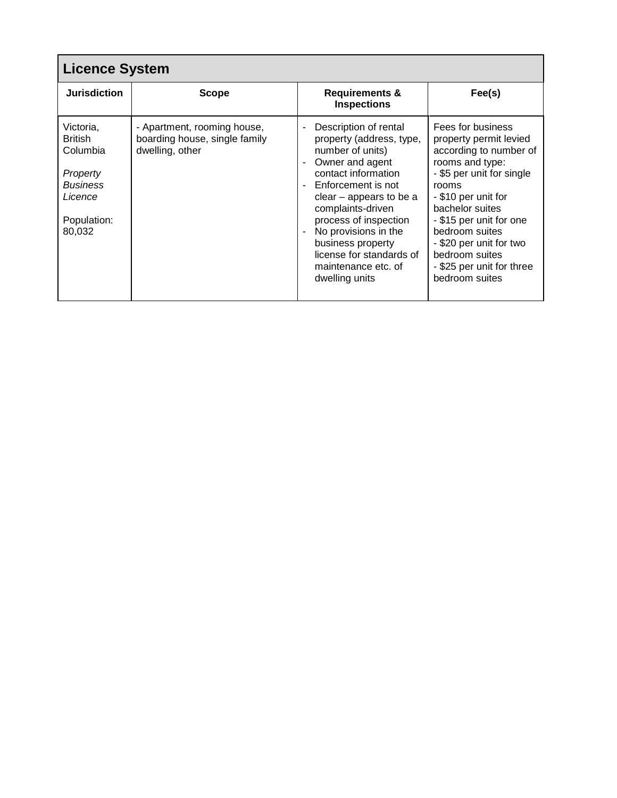| <b>Licence System</b>                                                                                      |                                                                                 |                                                                                                                                                                                                                                                                                                                                    |                                                                                                                                                                                                                                                                                                                   |  |  |
|------------------------------------------------------------------------------------------------------------|---------------------------------------------------------------------------------|------------------------------------------------------------------------------------------------------------------------------------------------------------------------------------------------------------------------------------------------------------------------------------------------------------------------------------|-------------------------------------------------------------------------------------------------------------------------------------------------------------------------------------------------------------------------------------------------------------------------------------------------------------------|--|--|
| <b>Jurisdiction</b>                                                                                        | <b>Scope</b>                                                                    | <b>Requirements &amp;</b><br><b>Inspections</b>                                                                                                                                                                                                                                                                                    | Fee(s)                                                                                                                                                                                                                                                                                                            |  |  |
| Victoria,<br><b>British</b><br>Columbia<br>Property<br><b>Business</b><br>Licence<br>Population:<br>80,032 | - Apartment, rooming house,<br>boarding house, single family<br>dwelling, other | Description of rental<br>property (address, type,<br>number of units)<br>Owner and agent<br>contact information<br>Enforcement is not<br>$clear - appears to be a$<br>complaints-driven<br>process of inspection<br>No provisions in the<br>business property<br>license for standards of<br>maintenance etc. of<br>dwelling units | Fees for business<br>property permit levied<br>according to number of<br>rooms and type:<br>- \$5 per unit for single<br>rooms<br>- \$10 per unit for<br>bachelor suites<br>- \$15 per unit for one<br>bedroom suites<br>- \$20 per unit for two<br>bedroom suites<br>- \$25 per unit for three<br>bedroom suites |  |  |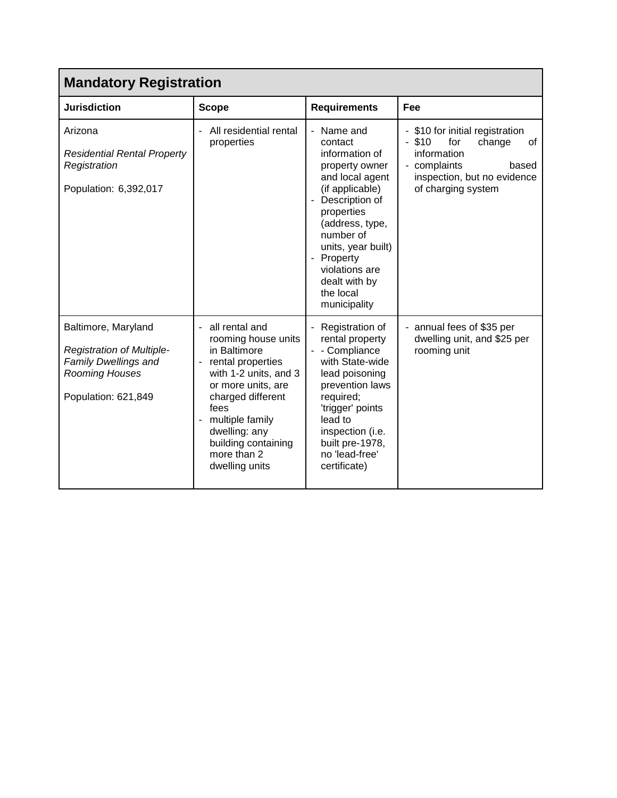| <b>Mandatory Registration</b>                                                                                                   |                                                                                                                                                                                                                                                        |                                                                                                                                                                                                                                                                     |                                                                                                                                                                 |  |
|---------------------------------------------------------------------------------------------------------------------------------|--------------------------------------------------------------------------------------------------------------------------------------------------------------------------------------------------------------------------------------------------------|---------------------------------------------------------------------------------------------------------------------------------------------------------------------------------------------------------------------------------------------------------------------|-----------------------------------------------------------------------------------------------------------------------------------------------------------------|--|
| <b>Jurisdiction</b>                                                                                                             | <b>Scope</b>                                                                                                                                                                                                                                           | <b>Requirements</b>                                                                                                                                                                                                                                                 | Fee                                                                                                                                                             |  |
| Arizona<br><b>Residential Rental Property</b><br>Registration<br>Population: 6,392,017                                          | All residential rental<br>properties                                                                                                                                                                                                                   | - Name and<br>contact<br>information of<br>property owner<br>and local agent<br>(if applicable)<br>Description of<br>properties<br>(address, type,<br>number of<br>units, year built)<br>- Property<br>violations are<br>dealt with by<br>the local<br>municipality | - \$10 for initial registration<br>$-$ \$10<br>for<br>change<br>0f<br>information<br>- complaints<br>based<br>inspection, but no evidence<br>of charging system |  |
| Baltimore, Maryland<br><b>Registration of Multiple-</b><br><b>Family Dwellings and</b><br>Rooming Houses<br>Population: 621,849 | all rental and<br>rooming house units<br>in Baltimore<br>- rental properties<br>with 1-2 units, and 3<br>or more units, are<br>charged different<br>fees<br>- multiple family<br>dwelling: any<br>building containing<br>more than 2<br>dwelling units | Registration of<br>rental property<br>- Compliance<br>with State-wide<br>lead poisoning<br>prevention laws<br>required;<br>'trigger' points<br>lead to<br>inspection (i.e.<br>built pre-1978,<br>no 'lead-free'<br>certificate)                                     | annual fees of \$35 per<br>dwelling unit, and \$25 per<br>rooming unit                                                                                          |  |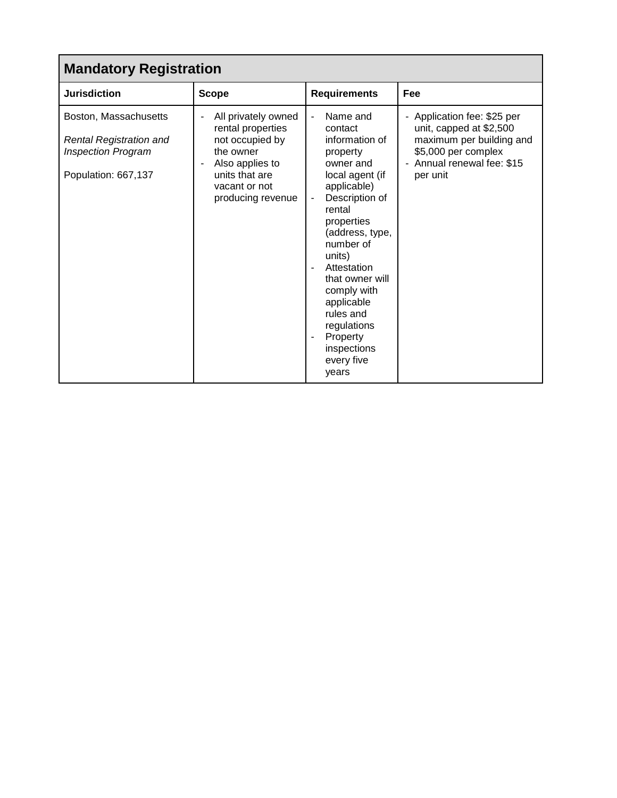| <b>Mandatory Registration</b>                                                                               |                                                                                                                                                     |                                                                                                                                                                                                                                                                                                                                   |                                                                                                                                                   |  |
|-------------------------------------------------------------------------------------------------------------|-----------------------------------------------------------------------------------------------------------------------------------------------------|-----------------------------------------------------------------------------------------------------------------------------------------------------------------------------------------------------------------------------------------------------------------------------------------------------------------------------------|---------------------------------------------------------------------------------------------------------------------------------------------------|--|
| <b>Jurisdiction</b>                                                                                         | <b>Scope</b>                                                                                                                                        | <b>Requirements</b>                                                                                                                                                                                                                                                                                                               | Fee                                                                                                                                               |  |
| Boston, Massachusetts<br><b>Rental Registration and</b><br><b>Inspection Program</b><br>Population: 667,137 | All privately owned<br>rental properties<br>not occupied by<br>the owner<br>Also applies to<br>units that are<br>vacant or not<br>producing revenue | Name and<br>contact<br>information of<br>property<br>owner and<br>local agent (if<br>applicable)<br>Description of<br>rental<br>properties<br>(address, type,<br>number of<br>units)<br>Attestation<br>that owner will<br>comply with<br>applicable<br>rules and<br>regulations<br>Property<br>inspections<br>every five<br>years | - Application fee: \$25 per<br>unit, capped at \$2,500<br>maximum per building and<br>\$5,000 per complex<br>Annual renewal fee: \$15<br>per unit |  |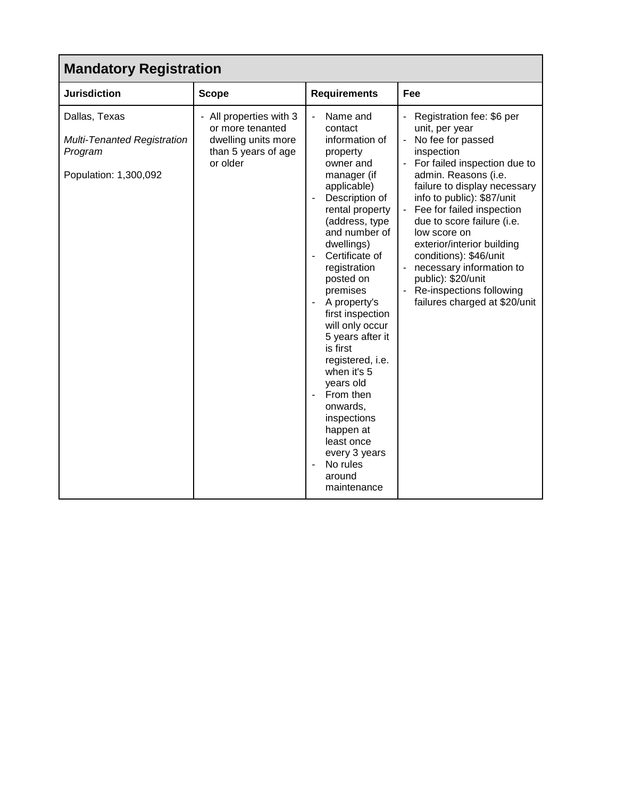| <b>Mandatory Registration</b>                                                           |                                                                                                       |                                                                                                                                                                                                                                                                                                                                                                                                                                                                                                                     |                                                                                                                                                                                                                                                                                                                                                                                                                                                        |  |
|-----------------------------------------------------------------------------------------|-------------------------------------------------------------------------------------------------------|---------------------------------------------------------------------------------------------------------------------------------------------------------------------------------------------------------------------------------------------------------------------------------------------------------------------------------------------------------------------------------------------------------------------------------------------------------------------------------------------------------------------|--------------------------------------------------------------------------------------------------------------------------------------------------------------------------------------------------------------------------------------------------------------------------------------------------------------------------------------------------------------------------------------------------------------------------------------------------------|--|
| <b>Jurisdiction</b>                                                                     | <b>Scope</b>                                                                                          | <b>Requirements</b>                                                                                                                                                                                                                                                                                                                                                                                                                                                                                                 | Fee                                                                                                                                                                                                                                                                                                                                                                                                                                                    |  |
| Dallas, Texas<br><b>Multi-Tenanted Registration</b><br>Program<br>Population: 1,300,092 | - All properties with 3<br>or more tenanted<br>dwelling units more<br>than 5 years of age<br>or older | Name and<br>contact<br>information of<br>property<br>owner and<br>manager (if<br>applicable)<br>Description of<br>rental property<br>(address, type<br>and number of<br>dwellings)<br>Certificate of<br>registration<br>posted on<br>premises<br>A property's<br>first inspection<br>will only occur<br>5 years after it<br>is first<br>registered, i.e.<br>when it's 5<br>years old<br>From then<br>÷,<br>onwards,<br>inspections<br>happen at<br>least once<br>every 3 years<br>No rules<br>around<br>maintenance | Registration fee: \$6 per<br>unit, per year<br>No fee for passed<br>inspection<br>For failed inspection due to<br>admin. Reasons (i.e.<br>failure to display necessary<br>info to public): \$87/unit<br>Fee for failed inspection<br>due to score failure (i.e.<br>low score on<br>exterior/interior building<br>conditions): \$46/unit<br>necessary information to<br>public): \$20/unit<br>Re-inspections following<br>failures charged at \$20/unit |  |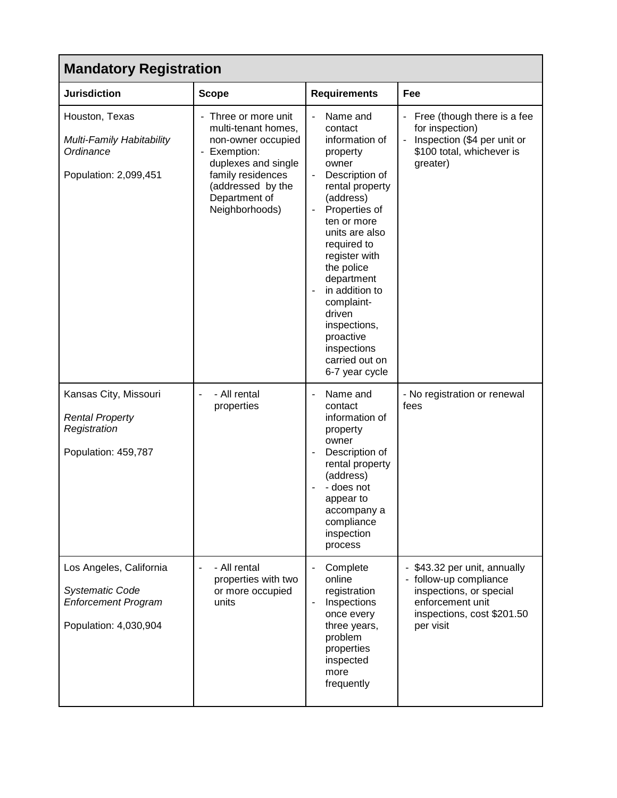| <b>Mandatory Registration</b>                                                                            |                                                                                                                                                                                   |                                                                                                                                                                                                                                                                                                                                                      |                                                                                                                                              |
|----------------------------------------------------------------------------------------------------------|-----------------------------------------------------------------------------------------------------------------------------------------------------------------------------------|------------------------------------------------------------------------------------------------------------------------------------------------------------------------------------------------------------------------------------------------------------------------------------------------------------------------------------------------------|----------------------------------------------------------------------------------------------------------------------------------------------|
| <b>Jurisdiction</b>                                                                                      | <b>Scope</b>                                                                                                                                                                      | <b>Requirements</b>                                                                                                                                                                                                                                                                                                                                  | Fee                                                                                                                                          |
| Houston, Texas<br>Multi-Family Habitability<br>Ordinance<br>Population: 2,099,451                        | Three or more unit<br>multi-tenant homes,<br>non-owner occupied<br>Exemption:<br>duplexes and single<br>family residences<br>(addressed by the<br>Department of<br>Neighborhoods) | Name and<br>contact<br>information of<br>property<br>owner<br>Description of<br>rental property<br>(address)<br>Properties of<br>ten or more<br>units are also<br>required to<br>register with<br>the police<br>department<br>in addition to<br>complaint-<br>driven<br>inspections,<br>proactive<br>inspections<br>carried out on<br>6-7 year cycle | Free (though there is a fee<br>for inspection)<br>Inspection (\$4 per unit or<br>\$100 total, whichever is<br>greater)                       |
| Kansas City, Missouri<br><b>Rental Property</b><br>Registration<br>Population: 459,787                   | - All rental<br>properties                                                                                                                                                        | Name and<br>contact<br>information of<br>property<br>owner<br>Description of<br>rental property<br>(address)<br>- does not<br>appear to<br>accompany a<br>compliance<br>inspection<br>process                                                                                                                                                        | - No registration or renewal<br>fees                                                                                                         |
| Los Angeles, California<br><b>Systematic Code</b><br><b>Enforcement Program</b><br>Population: 4,030,904 | - All rental<br>÷,<br>properties with two<br>or more occupied<br>units                                                                                                            | Complete<br>online<br>registration<br>Inspections<br>once every<br>three years,<br>problem<br>properties<br>inspected<br>more<br>frequently                                                                                                                                                                                                          | \$43.32 per unit, annually<br>follow-up compliance<br>inspections, or special<br>enforcement unit<br>inspections, cost \$201.50<br>per visit |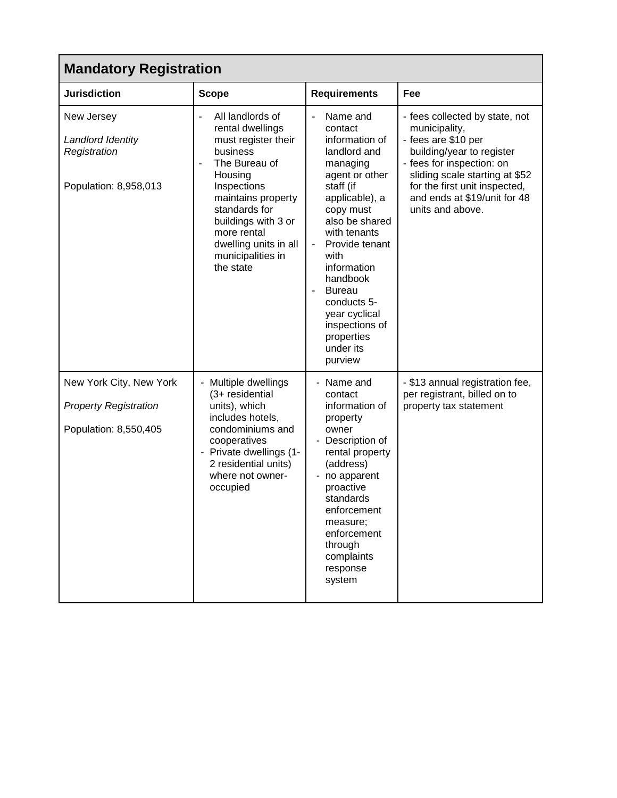| <b>Mandatory Registration</b>                                                    |                                                                                                                                                                                                                                                                                                          |                                                                                                                                                                                                                                                                                                                                                                                         |                                                                                                                                                                                                                                                         |
|----------------------------------------------------------------------------------|----------------------------------------------------------------------------------------------------------------------------------------------------------------------------------------------------------------------------------------------------------------------------------------------------------|-----------------------------------------------------------------------------------------------------------------------------------------------------------------------------------------------------------------------------------------------------------------------------------------------------------------------------------------------------------------------------------------|---------------------------------------------------------------------------------------------------------------------------------------------------------------------------------------------------------------------------------------------------------|
| <b>Jurisdiction</b>                                                              | <b>Scope</b>                                                                                                                                                                                                                                                                                             | <b>Requirements</b>                                                                                                                                                                                                                                                                                                                                                                     | Fee                                                                                                                                                                                                                                                     |
| New Jersey<br>Landlord Identity<br>Registration<br>Population: 8,958,013         | All landlords of<br>$\overline{\phantom{a}}$<br>rental dwellings<br>must register their<br>business<br>The Bureau of<br>$\blacksquare$<br>Housing<br>Inspections<br>maintains property<br>standards for<br>buildings with 3 or<br>more rental<br>dwelling units in all<br>municipalities in<br>the state | Name and<br>$\overline{\phantom{a}}$<br>contact<br>information of<br>landlord and<br>managing<br>agent or other<br>staff (if<br>applicable), a<br>copy must<br>also be shared<br>with tenants<br>Provide tenant<br>with<br>information<br>handbook<br><b>Bureau</b><br>$\overline{\phantom{a}}$<br>conducts 5-<br>year cyclical<br>inspections of<br>properties<br>under its<br>purview | - fees collected by state, not<br>municipality,<br>- fees are \$10 per<br>building/year to register<br>- fees for inspection: on<br>sliding scale starting at \$52<br>for the first unit inspected,<br>and ends at \$19/unit for 48<br>units and above. |
| New York City, New York<br><b>Property Registration</b><br>Population: 8,550,405 | Multiple dwellings<br>(3+ residential<br>units), which<br>includes hotels,<br>condominiums and<br>cooperatives<br>- Private dwellings (1-<br>2 residential units)<br>where not owner-<br>occupied                                                                                                        | - Name and<br>contact<br>information of<br>property<br>owner<br>Description of<br>rental property<br>(address)<br>no apparent<br>proactive<br>standards<br>enforcement<br>measure;<br>enforcement<br>through<br>complaints<br>response<br>system                                                                                                                                        | - \$13 annual registration fee,<br>per registrant, billed on to<br>property tax statement                                                                                                                                                               |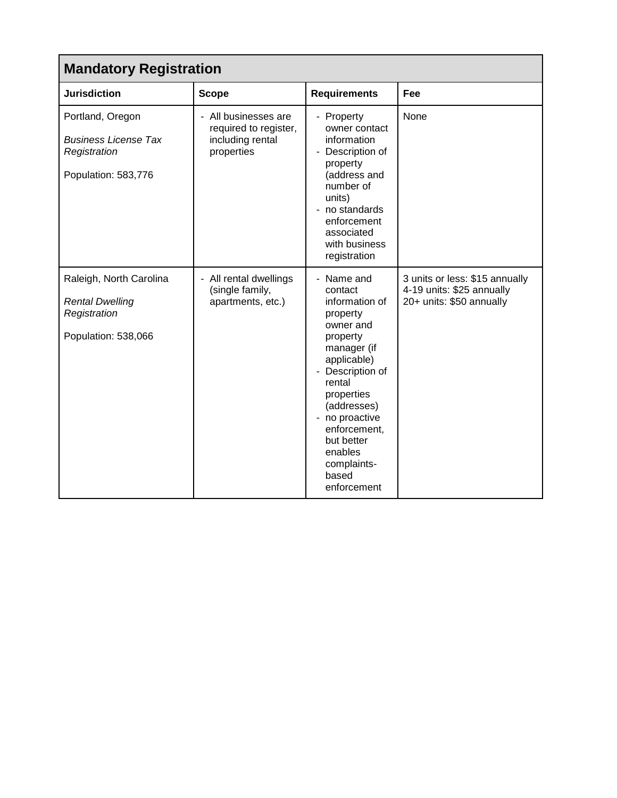| <b>Mandatory Registration</b>                                                            |                                                                                 |                                                                                                                                                                                                                                                                       |                                                                                         |  |
|------------------------------------------------------------------------------------------|---------------------------------------------------------------------------------|-----------------------------------------------------------------------------------------------------------------------------------------------------------------------------------------------------------------------------------------------------------------------|-----------------------------------------------------------------------------------------|--|
| <b>Jurisdiction</b>                                                                      | <b>Scope</b>                                                                    | <b>Requirements</b>                                                                                                                                                                                                                                                   | Fee                                                                                     |  |
| Portland, Oregon<br><b>Business License Tax</b><br>Registration<br>Population: 583,776   | - All businesses are<br>required to register,<br>including rental<br>properties | - Property<br>owner contact<br>information<br>- Description of<br>property<br>(address and<br>number of<br>units)<br>no standards<br>enforcement<br>associated<br>with business<br>registration                                                                       | <b>None</b>                                                                             |  |
| Raleigh, North Carolina<br><b>Rental Dwelling</b><br>Registration<br>Population: 538,066 | - All rental dwellings<br>(single family,<br>apartments, etc.)                  | Name and<br>contact<br>information of<br>property<br>owner and<br>property<br>manager (if<br>applicable)<br>- Description of<br>rental<br>properties<br>(addresses)<br>- no proactive<br>enforcement,<br>but better<br>enables<br>complaints-<br>based<br>enforcement | 3 units or less: \$15 annually<br>4-19 units: \$25 annually<br>20+ units: \$50 annually |  |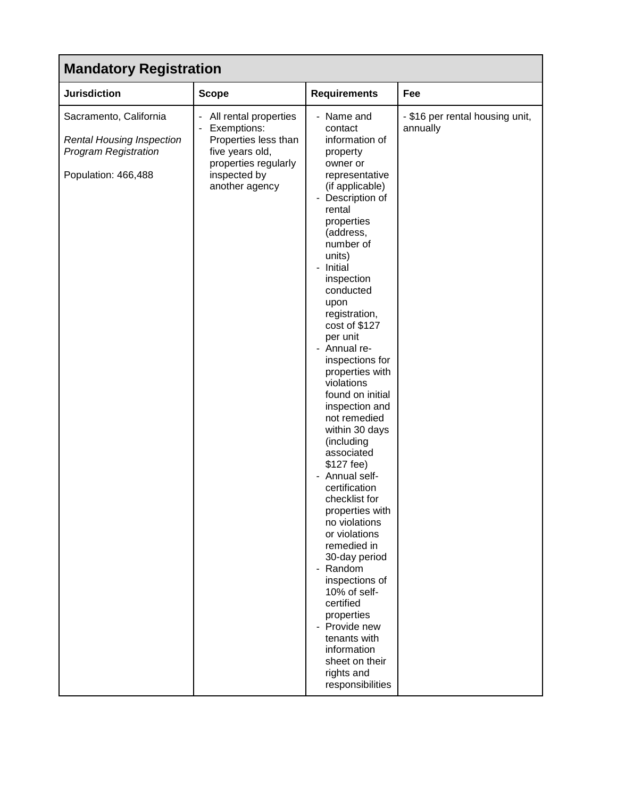# **Mandatory Registration**

| Manualui y N <del>e</del> yisu aliun                                                                             |                                                                                                                                           |                                                                                                                                                                                                                                                                                                                                                                                                                                                                                                                                                                                                                                                                                                                                                                                          |                                             |  |
|------------------------------------------------------------------------------------------------------------------|-------------------------------------------------------------------------------------------------------------------------------------------|------------------------------------------------------------------------------------------------------------------------------------------------------------------------------------------------------------------------------------------------------------------------------------------------------------------------------------------------------------------------------------------------------------------------------------------------------------------------------------------------------------------------------------------------------------------------------------------------------------------------------------------------------------------------------------------------------------------------------------------------------------------------------------------|---------------------------------------------|--|
| <b>Jurisdiction</b>                                                                                              | <b>Scope</b>                                                                                                                              | <b>Requirements</b>                                                                                                                                                                                                                                                                                                                                                                                                                                                                                                                                                                                                                                                                                                                                                                      | Fee                                         |  |
| Sacramento, California<br><b>Rental Housing Inspection</b><br><b>Program Registration</b><br>Population: 466,488 | All rental properties<br>Exemptions:<br>Properties less than<br>five years old,<br>properties regularly<br>inspected by<br>another agency | - Name and<br>contact<br>information of<br>property<br>owner or<br>representative<br>(if applicable)<br>Description of<br>rental<br>properties<br>(address,<br>number of<br>units)<br>- Initial<br>inspection<br>conducted<br>upon<br>registration,<br>cost of \$127<br>per unit<br>Annual re-<br>inspections for<br>properties with<br>violations<br>found on initial<br>inspection and<br>not remedied<br>within 30 days<br>(including<br>associated<br>\$127 fee)<br>- Annual self-<br>certification<br>checklist for<br>properties with<br>no violations<br>or violations<br>remedied in<br>30-day period<br>- Random<br>inspections of<br>10% of self-<br>certified<br>properties<br>Provide new<br>tenants with<br>information<br>sheet on their<br>rights and<br>responsibilities | - \$16 per rental housing unit,<br>annually |  |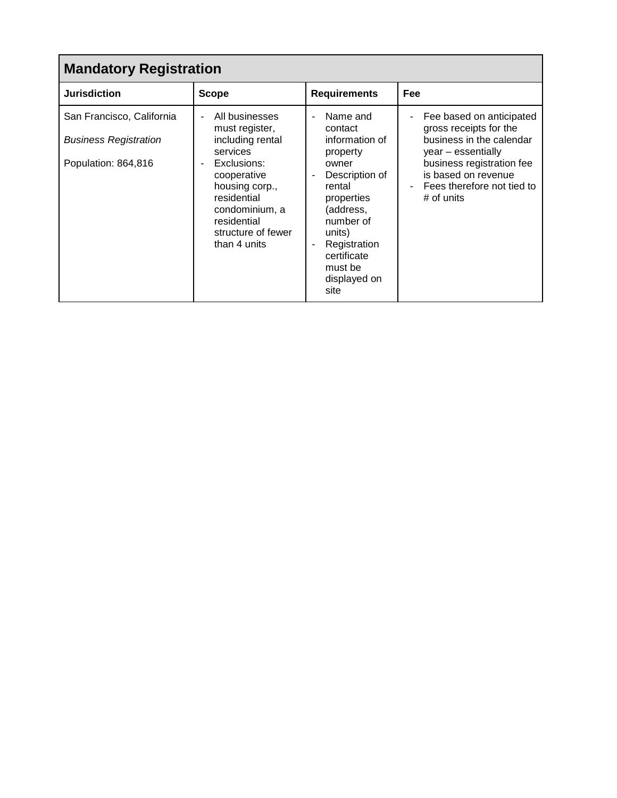| <b>Mandatory Registration</b>                                                    |                                                                                                                                                                                                        |                                                                                                                                                                                                                                              |                                                                                                                                                                                                                                  |  |
|----------------------------------------------------------------------------------|--------------------------------------------------------------------------------------------------------------------------------------------------------------------------------------------------------|----------------------------------------------------------------------------------------------------------------------------------------------------------------------------------------------------------------------------------------------|----------------------------------------------------------------------------------------------------------------------------------------------------------------------------------------------------------------------------------|--|
| <b>Jurisdiction</b>                                                              | <b>Scope</b>                                                                                                                                                                                           | <b>Requirements</b>                                                                                                                                                                                                                          | Fee                                                                                                                                                                                                                              |  |
| San Francisco, California<br><b>Business Registration</b><br>Population: 864,816 | All businesses<br>must register,<br>including rental<br>services<br>Exclusions:<br>cooperative<br>housing corp.,<br>residential<br>condominium, a<br>residential<br>structure of fewer<br>than 4 units | Name and<br>ä,<br>contact<br>information of<br>property<br>owner<br>Description of<br>$\overline{\phantom{a}}$<br>rental<br>properties<br>(address,<br>number of<br>units)<br>Registration<br>certificate<br>must be<br>displayed on<br>site | Fee based on anticipated<br>$\overline{\phantom{a}}$<br>gross receipts for the<br>business in the calendar<br>year – essentially<br>business registration fee<br>is based on revenue<br>Fees therefore not tied to<br># of units |  |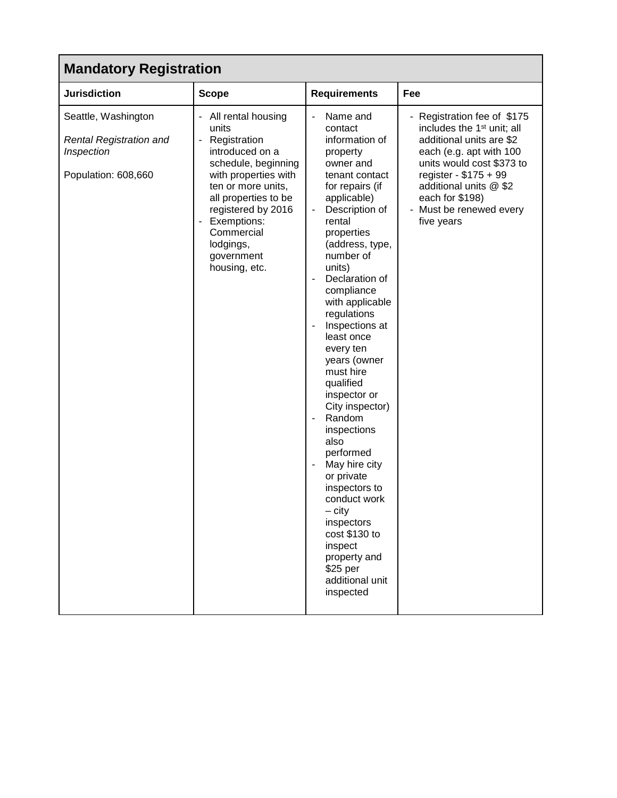# **Mandatory Registration**

| <b>Jurisdiction</b>                                                                        | <b>Scope</b>                                                                                                                                                                                                                                               | <b>Requirements</b>                                                                                                                                                                                                                                                                                                                                                                                                                                                                                                                                                                                                                                            | Fee                                                                                                                                                                                                                                                                      |  |  |  |
|--------------------------------------------------------------------------------------------|------------------------------------------------------------------------------------------------------------------------------------------------------------------------------------------------------------------------------------------------------------|----------------------------------------------------------------------------------------------------------------------------------------------------------------------------------------------------------------------------------------------------------------------------------------------------------------------------------------------------------------------------------------------------------------------------------------------------------------------------------------------------------------------------------------------------------------------------------------------------------------------------------------------------------------|--------------------------------------------------------------------------------------------------------------------------------------------------------------------------------------------------------------------------------------------------------------------------|--|--|--|
| Seattle, Washington<br><b>Rental Registration and</b><br>Inspection<br>Population: 608,660 | All rental housing<br>units<br>Registration<br>introduced on a<br>schedule, beginning<br>with properties with<br>ten or more units,<br>all properties to be<br>registered by 2016<br>Exemptions:<br>Commercial<br>lodgings,<br>government<br>housing, etc. | Name and<br>$\overline{\phantom{a}}$<br>contact<br>information of<br>property<br>owner and<br>tenant contact<br>for repairs (if<br>applicable)<br>Description of<br>rental<br>properties<br>(address, type,<br>number of<br>units)<br>Declaration of<br>compliance<br>with applicable<br>regulations<br>Inspections at<br>least once<br>every ten<br>years (owner<br>must hire<br>qualified<br>inspector or<br>City inspector)<br>Random<br>inspections<br>also<br>performed<br>May hire city<br>or private<br>inspectors to<br>conduct work<br>$-$ city<br>inspectors<br>cost \$130 to<br>inspect<br>property and<br>\$25 per<br>additional unit<br>inspected | - Registration fee of \$175<br>includes the 1 <sup>st</sup> unit; all<br>additional units are \$2<br>each (e.g. apt with 100<br>units would cost \$373 to<br>register - \$175 + 99<br>additional units @ \$2<br>each for \$198)<br>- Must be renewed every<br>five years |  |  |  |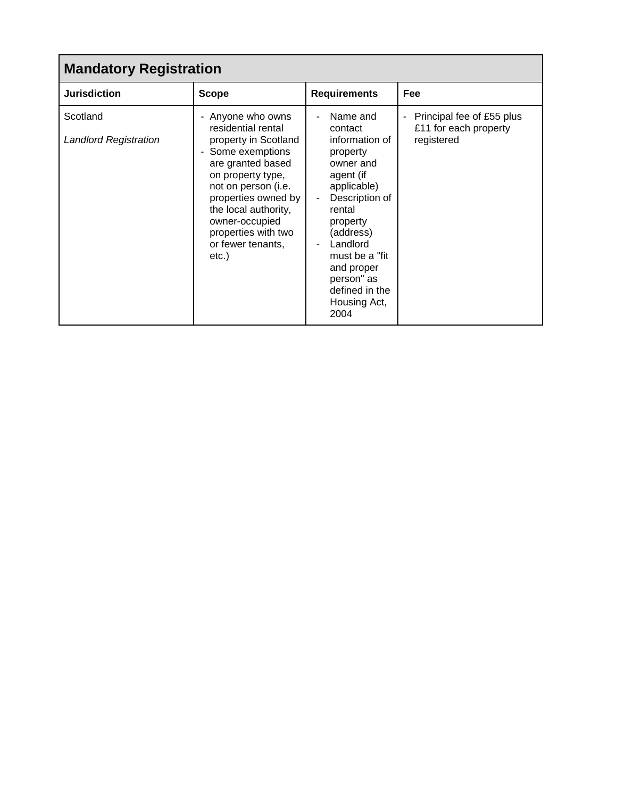| <b>Mandatory Registration</b>     |                                                                                                                                                                                                                                                                             |                                                                                                                                                                                                                                                      |                                                                                              |  |  |  |
|-----------------------------------|-----------------------------------------------------------------------------------------------------------------------------------------------------------------------------------------------------------------------------------------------------------------------------|------------------------------------------------------------------------------------------------------------------------------------------------------------------------------------------------------------------------------------------------------|----------------------------------------------------------------------------------------------|--|--|--|
| <b>Jurisdiction</b>               | <b>Scope</b>                                                                                                                                                                                                                                                                | <b>Requirements</b>                                                                                                                                                                                                                                  | Fee                                                                                          |  |  |  |
| Scotland<br>Landlord Registration | - Anyone who owns<br>residential rental<br>property in Scotland<br>- Some exemptions<br>are granted based<br>on property type,<br>not on person (i.e.<br>properties owned by<br>the local authority,<br>owner-occupied<br>properties with two<br>or fewer tenants,<br>etc.) | Name and<br>contact<br>information of<br>property<br>owner and<br>agent (if<br>applicable)<br>Description of<br>rental<br>property<br>(address)<br>Landlord<br>must be a "fit"<br>and proper<br>person" as<br>defined in the<br>Housing Act,<br>2004 | Principal fee of £55 plus<br>$\overline{\phantom{0}}$<br>£11 for each property<br>registered |  |  |  |